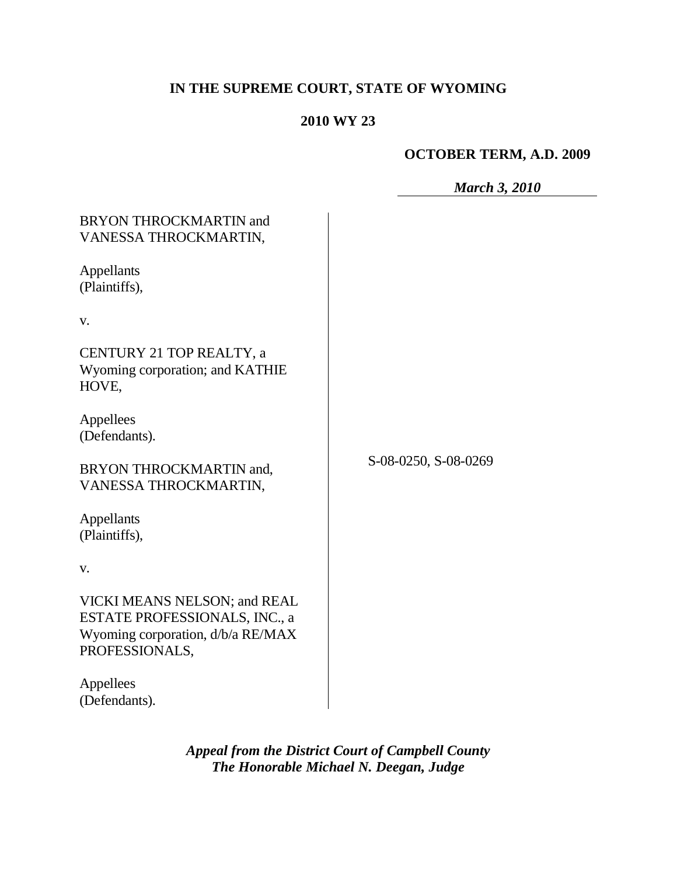# **IN THE SUPREME COURT, STATE OF WYOMING**

# **2010 WY 23**

# **OCTOBER TERM, A.D. 2009**

*March 3, 2010*

| BRYON THROCKMARTIN and<br>VANESSA THROCKMARTIN,                                                                             |                      |
|-----------------------------------------------------------------------------------------------------------------------------|----------------------|
| Appellants<br>(Plaintiffs),                                                                                                 |                      |
| V.                                                                                                                          |                      |
| CENTURY 21 TOP REALTY, a<br>Wyoming corporation; and KATHIE<br>HOVE,                                                        |                      |
| Appellees<br>(Defendants).                                                                                                  |                      |
| BRYON THROCKMARTIN and,<br>VANESSA THROCKMARTIN,                                                                            | S-08-0250, S-08-0269 |
| Appellants<br>(Plaintiffs),                                                                                                 |                      |
| V.                                                                                                                          |                      |
| VICKI MEANS NELSON; and REAL<br><b>ESTATE PROFESSIONALS, INC., a</b><br>Wyoming corporation, d/b/a RE/MAX<br>PROFESSIONALS, |                      |
| Appellees<br>(Defendants).                                                                                                  |                      |

*Appeal from the District Court of Campbell County The Honorable Michael N. Deegan, Judge*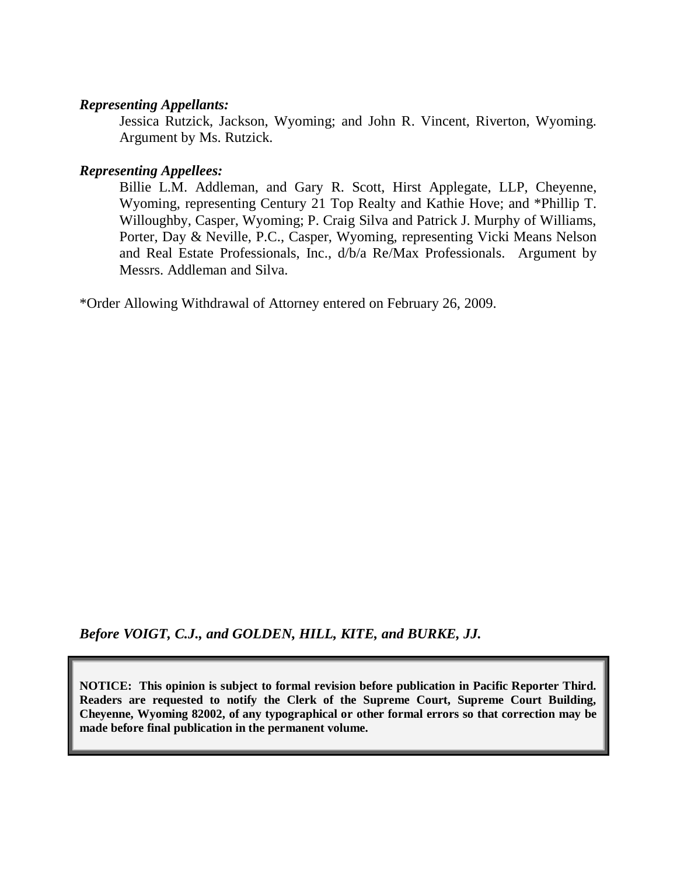### *Representing Appellants:*

Jessica Rutzick, Jackson, Wyoming; and John R. Vincent, Riverton, Wyoming. Argument by Ms. Rutzick.

#### *Representing Appellees:*

Billie L.M. Addleman, and Gary R. Scott, Hirst Applegate, LLP, Cheyenne, Wyoming, representing Century 21 Top Realty and Kathie Hove; and \*Phillip T. Willoughby, Casper, Wyoming; P. Craig Silva and Patrick J. Murphy of Williams, Porter, Day & Neville, P.C., Casper, Wyoming, representing Vicki Means Nelson and Real Estate Professionals, Inc., d/b/a Re/Max Professionals. Argument by Messrs. Addleman and Silva.

\*Order Allowing Withdrawal of Attorney entered on February 26, 2009.

*Before VOIGT, C.J., and GOLDEN, HILL, KITE, and BURKE, JJ.*

**NOTICE: This opinion is subject to formal revision before publication in Pacific Reporter Third. Readers are requested to notify the Clerk of the Supreme Court, Supreme Court Building, Cheyenne, Wyoming 82002, of any typographical or other formal errors so that correction may be made before final publication in the permanent volume.**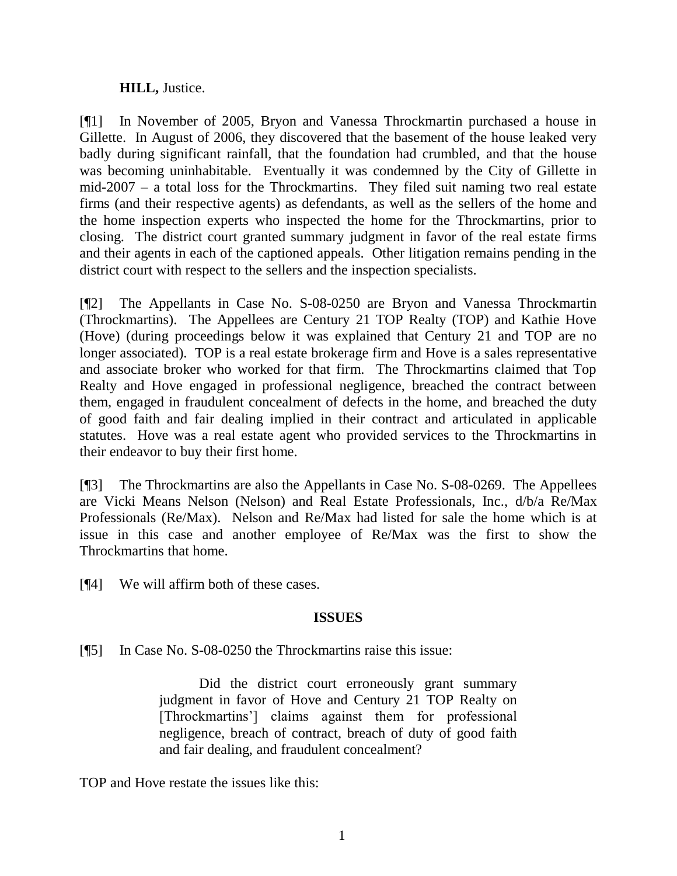## **HILL,** Justice.

[¶1] In November of 2005, Bryon and Vanessa Throckmartin purchased a house in Gillette. In August of 2006, they discovered that the basement of the house leaked very badly during significant rainfall, that the foundation had crumbled, and that the house was becoming uninhabitable. Eventually it was condemned by the City of Gillette in mid-2007 – a total loss for the Throckmartins. They filed suit naming two real estate firms (and their respective agents) as defendants, as well as the sellers of the home and the home inspection experts who inspected the home for the Throckmartins, prior to closing. The district court granted summary judgment in favor of the real estate firms and their agents in each of the captioned appeals. Other litigation remains pending in the district court with respect to the sellers and the inspection specialists.

[¶2] The Appellants in Case No. S-08-0250 are Bryon and Vanessa Throckmartin (Throckmartins). The Appellees are Century 21 TOP Realty (TOP) and Kathie Hove (Hove) (during proceedings below it was explained that Century 21 and TOP are no longer associated). TOP is a real estate brokerage firm and Hove is a sales representative and associate broker who worked for that firm. The Throckmartins claimed that Top Realty and Hove engaged in professional negligence, breached the contract between them, engaged in fraudulent concealment of defects in the home, and breached the duty of good faith and fair dealing implied in their contract and articulated in applicable statutes. Hove was a real estate agent who provided services to the Throckmartins in their endeavor to buy their first home.

[¶3] The Throckmartins are also the Appellants in Case No. S-08-0269. The Appellees are Vicki Means Nelson (Nelson) and Real Estate Professionals, Inc., d/b/a Re/Max Professionals (Re/Max). Nelson and Re/Max had listed for sale the home which is at issue in this case and another employee of Re/Max was the first to show the Throckmartins that home.

[¶4] We will affirm both of these cases.

# **ISSUES**

[¶5] In Case No. S-08-0250 the Throckmartins raise this issue:

Did the district court erroneously grant summary judgment in favor of Hove and Century 21 TOP Realty on [Throckmartins"] claims against them for professional negligence, breach of contract, breach of duty of good faith and fair dealing, and fraudulent concealment?

TOP and Hove restate the issues like this: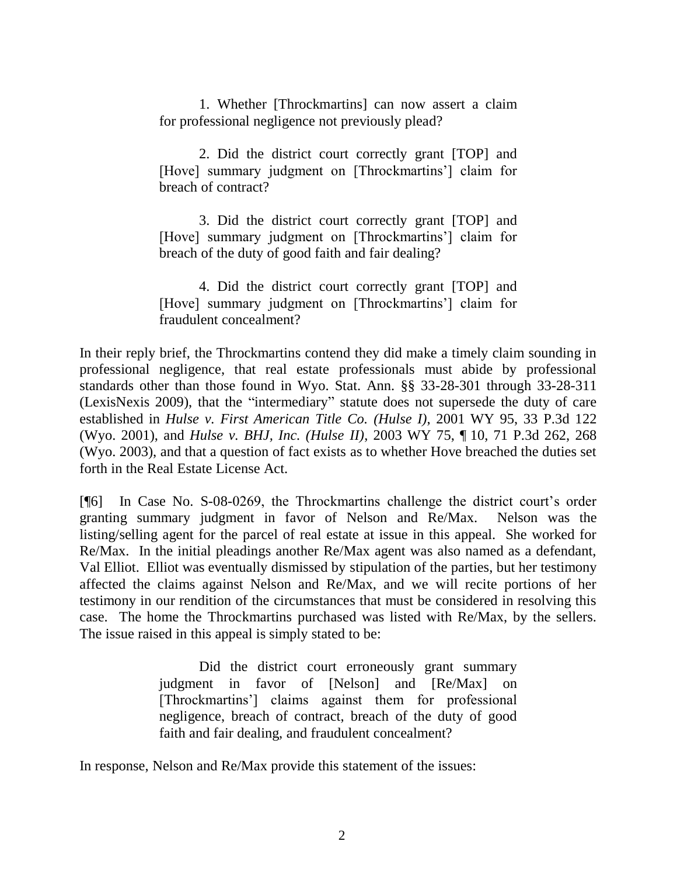1. Whether [Throckmartins] can now assert a claim for professional negligence not previously plead?

2. Did the district court correctly grant [TOP] and [Hove] summary judgment on [Throckmartins'] claim for breach of contract?

3. Did the district court correctly grant [TOP] and [Hove] summary judgment on [Throckmartins'] claim for breach of the duty of good faith and fair dealing?

4. Did the district court correctly grant [TOP] and [Hove] summary judgment on [Throckmartins'] claim for fraudulent concealment?

In their reply brief, the Throckmartins contend they did make a timely claim sounding in professional negligence, that real estate professionals must abide by professional standards other than those found in Wyo. Stat. Ann. §§ 33-28-301 through 33-28-311 (LexisNexis 2009), that the "intermediary" statute does not supersede the duty of care established in *Hulse v. First American Title Co. (Hulse I)*, 2001 WY 95, 33 P.3d 122 (Wyo. 2001), and *Hulse v. BHJ, Inc. (Hulse II)*, 2003 WY 75, ¶ 10, 71 P.3d 262, 268 (Wyo. 2003), and that a question of fact exists as to whether Hove breached the duties set forth in the Real Estate License Act.

[¶6] In Case No. S-08-0269, the Throckmartins challenge the district court's order granting summary judgment in favor of Nelson and Re/Max. Nelson was the listing/selling agent for the parcel of real estate at issue in this appeal. She worked for Re/Max. In the initial pleadings another Re/Max agent was also named as a defendant, Val Elliot. Elliot was eventually dismissed by stipulation of the parties, but her testimony affected the claims against Nelson and Re/Max, and we will recite portions of her testimony in our rendition of the circumstances that must be considered in resolving this case. The home the Throckmartins purchased was listed with Re/Max, by the sellers. The issue raised in this appeal is simply stated to be:

> Did the district court erroneously grant summary judgment in favor of [Nelson] and [Re/Max] on [Throckmartins"] claims against them for professional negligence, breach of contract, breach of the duty of good faith and fair dealing, and fraudulent concealment?

In response, Nelson and Re/Max provide this statement of the issues: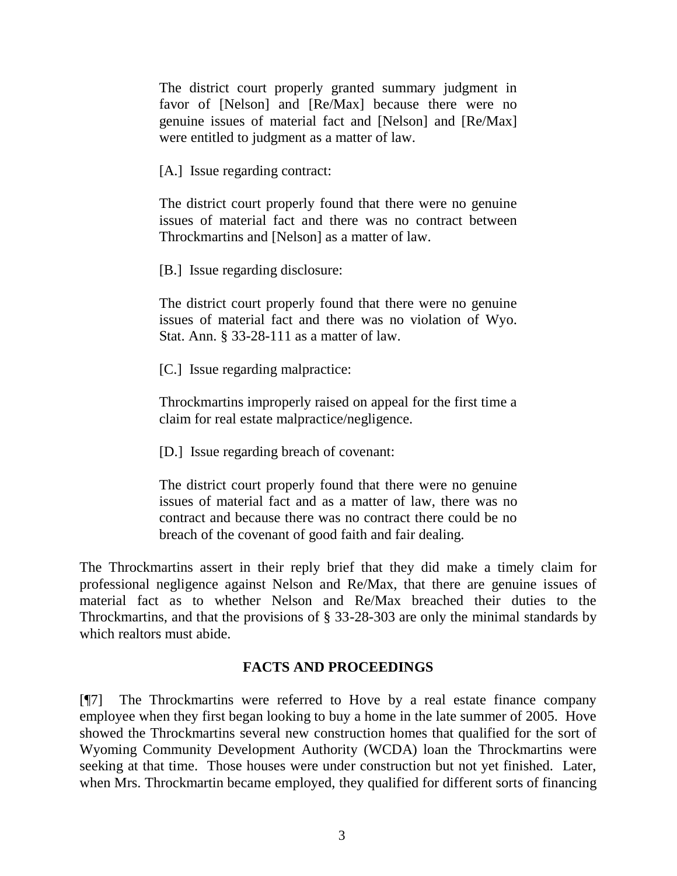The district court properly granted summary judgment in favor of [Nelson] and [Re/Max] because there were no genuine issues of material fact and [Nelson] and [Re/Max] were entitled to judgment as a matter of law.

[A.] Issue regarding contract:

The district court properly found that there were no genuine issues of material fact and there was no contract between Throckmartins and [Nelson] as a matter of law.

[B.] Issue regarding disclosure:

The district court properly found that there were no genuine issues of material fact and there was no violation of Wyo. Stat. Ann. § 33-28-111 as a matter of law.

[C.] Issue regarding malpractice:

Throckmartins improperly raised on appeal for the first time a claim for real estate malpractice/negligence.

[D.] Issue regarding breach of covenant:

The district court properly found that there were no genuine issues of material fact and as a matter of law, there was no contract and because there was no contract there could be no breach of the covenant of good faith and fair dealing.

The Throckmartins assert in their reply brief that they did make a timely claim for professional negligence against Nelson and Re/Max, that there are genuine issues of material fact as to whether Nelson and Re/Max breached their duties to the Throckmartins, and that the provisions of § 33-28-303 are only the minimal standards by which realtors must abide.

# **FACTS AND PROCEEDINGS**

[¶7] The Throckmartins were referred to Hove by a real estate finance company employee when they first began looking to buy a home in the late summer of 2005. Hove showed the Throckmartins several new construction homes that qualified for the sort of Wyoming Community Development Authority (WCDA) loan the Throckmartins were seeking at that time. Those houses were under construction but not yet finished. Later, when Mrs. Throckmartin became employed, they qualified for different sorts of financing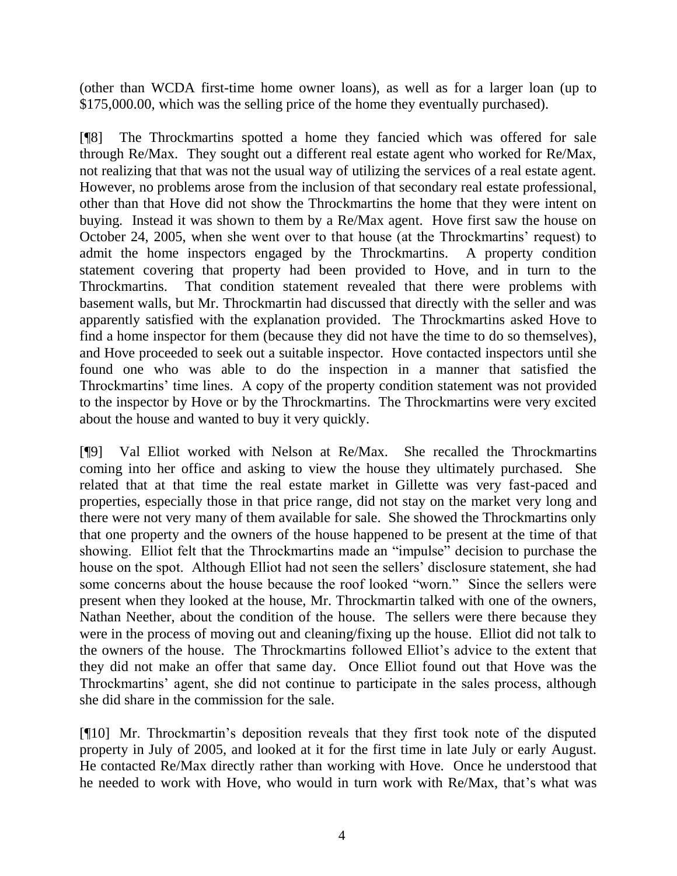(other than WCDA first-time home owner loans), as well as for a larger loan (up to \$175,000.00, which was the selling price of the home they eventually purchased).

[¶8] The Throckmartins spotted a home they fancied which was offered for sale through Re/Max. They sought out a different real estate agent who worked for Re/Max, not realizing that that was not the usual way of utilizing the services of a real estate agent. However, no problems arose from the inclusion of that secondary real estate professional, other than that Hove did not show the Throckmartins the home that they were intent on buying. Instead it was shown to them by a Re/Max agent. Hove first saw the house on October 24, 2005, when she went over to that house (at the Throckmartins' request) to admit the home inspectors engaged by the Throckmartins. A property condition statement covering that property had been provided to Hove, and in turn to the Throckmartins. That condition statement revealed that there were problems with basement walls, but Mr. Throckmartin had discussed that directly with the seller and was apparently satisfied with the explanation provided. The Throckmartins asked Hove to find a home inspector for them (because they did not have the time to do so themselves), and Hove proceeded to seek out a suitable inspector. Hove contacted inspectors until she found one who was able to do the inspection in a manner that satisfied the Throckmartins" time lines. A copy of the property condition statement was not provided to the inspector by Hove or by the Throckmartins. The Throckmartins were very excited about the house and wanted to buy it very quickly.

[¶9] Val Elliot worked with Nelson at Re/Max. She recalled the Throckmartins coming into her office and asking to view the house they ultimately purchased. She related that at that time the real estate market in Gillette was very fast-paced and properties, especially those in that price range, did not stay on the market very long and there were not very many of them available for sale. She showed the Throckmartins only that one property and the owners of the house happened to be present at the time of that showing. Elliot felt that the Throckmartins made an "impulse" decision to purchase the house on the spot. Although Elliot had not seen the sellers" disclosure statement, she had some concerns about the house because the roof looked "worn." Since the sellers were present when they looked at the house, Mr. Throckmartin talked with one of the owners, Nathan Neether, about the condition of the house. The sellers were there because they were in the process of moving out and cleaning/fixing up the house. Elliot did not talk to the owners of the house. The Throckmartins followed Elliot"s advice to the extent that they did not make an offer that same day. Once Elliot found out that Hove was the Throckmartins" agent, she did not continue to participate in the sales process, although she did share in the commission for the sale.

[¶10] Mr. Throckmartin"s deposition reveals that they first took note of the disputed property in July of 2005, and looked at it for the first time in late July or early August. He contacted Re/Max directly rather than working with Hove. Once he understood that he needed to work with Hove, who would in turn work with Re/Max, that's what was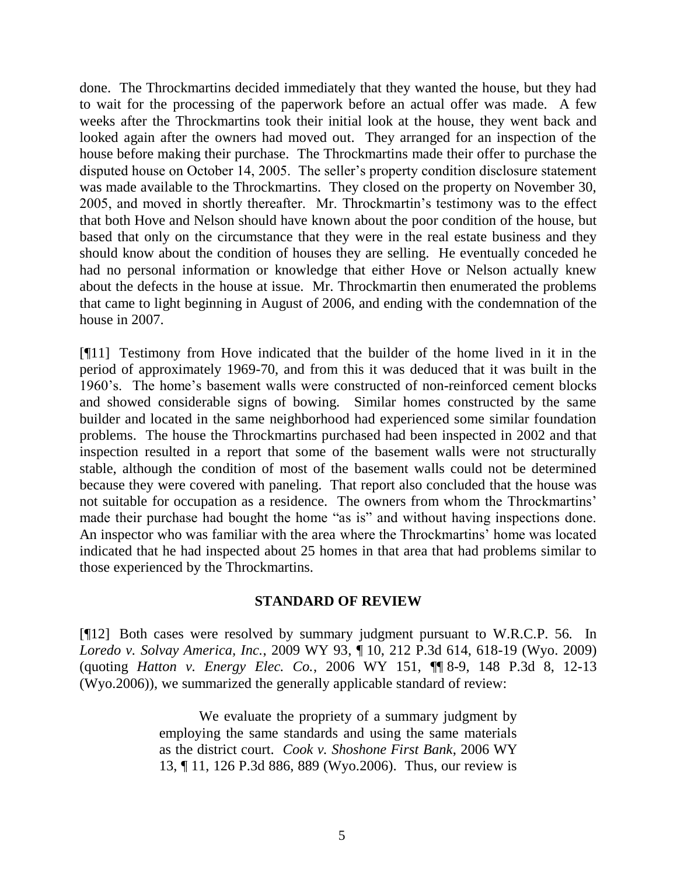done. The Throckmartins decided immediately that they wanted the house, but they had to wait for the processing of the paperwork before an actual offer was made. A few weeks after the Throckmartins took their initial look at the house, they went back and looked again after the owners had moved out. They arranged for an inspection of the house before making their purchase. The Throckmartins made their offer to purchase the disputed house on October 14, 2005. The seller"s property condition disclosure statement was made available to the Throckmartins. They closed on the property on November 30, 2005, and moved in shortly thereafter. Mr. Throckmartin"s testimony was to the effect that both Hove and Nelson should have known about the poor condition of the house, but based that only on the circumstance that they were in the real estate business and they should know about the condition of houses they are selling. He eventually conceded he had no personal information or knowledge that either Hove or Nelson actually knew about the defects in the house at issue. Mr. Throckmartin then enumerated the problems that came to light beginning in August of 2006, and ending with the condemnation of the house in 2007.

[¶11] Testimony from Hove indicated that the builder of the home lived in it in the period of approximately 1969-70, and from this it was deduced that it was built in the 1960"s. The home"s basement walls were constructed of non-reinforced cement blocks and showed considerable signs of bowing. Similar homes constructed by the same builder and located in the same neighborhood had experienced some similar foundation problems. The house the Throckmartins purchased had been inspected in 2002 and that inspection resulted in a report that some of the basement walls were not structurally stable, although the condition of most of the basement walls could not be determined because they were covered with paneling. That report also concluded that the house was not suitable for occupation as a residence. The owners from whom the Throckmartins" made their purchase had bought the home "as is" and without having inspections done. An inspector who was familiar with the area where the Throckmartins' home was located indicated that he had inspected about 25 homes in that area that had problems similar to those experienced by the Throckmartins.

### **STANDARD OF REVIEW**

[¶12] Both cases were resolved by summary judgment pursuant to W.R.C.P. 56. In *Loredo v. Solvay America, Inc.*, 2009 WY 93, ¶ 10, 212 P.3d 614, 618-19 (Wyo. 2009) (quoting *Hatton v. Energy Elec. Co.*, 2006 WY 151, ¶¶ 8-9, 148 P.3d 8, 12-13 (Wyo.2006)), we summarized the generally applicable standard of review:

> We evaluate the propriety of a summary judgment by employing the same standards and using the same materials as the district court. *Cook v. Shoshone First Bank*, 2006 WY 13, ¶ 11, 126 P.3d 886, 889 (Wyo.2006). Thus, our review is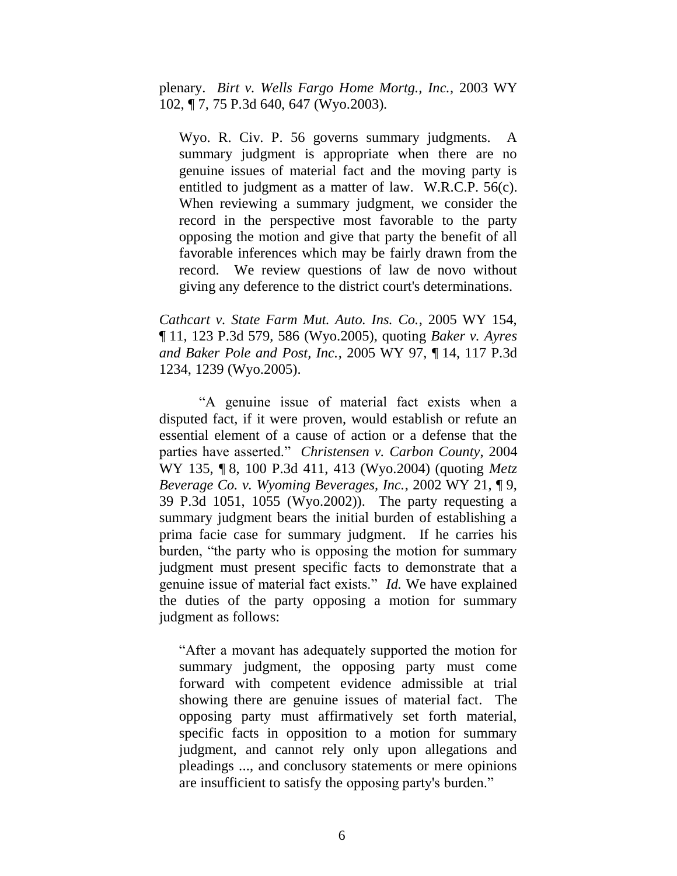plenary. *Birt v. Wells Fargo Home Mortg., Inc.*, 2003 WY 102, ¶ 7, 75 P.3d 640, 647 (Wyo.2003).

Wyo. R. Civ. P. 56 governs summary judgments. A summary judgment is appropriate when there are no genuine issues of material fact and the moving party is entitled to judgment as a matter of law. W.R.C.P. 56(c). When reviewing a summary judgment, we consider the record in the perspective most favorable to the party opposing the motion and give that party the benefit of all favorable inferences which may be fairly drawn from the record. We review questions of law de novo without giving any deference to the district court's determinations.

*Cathcart v. State Farm Mut. Auto. Ins. Co.*, 2005 WY 154, ¶ 11, 123 P.3d 579, 586 (Wyo.2005), quoting *Baker v. Ayres and Baker Pole and Post, Inc.*, 2005 WY 97, ¶ 14, 117 P.3d 1234, 1239 (Wyo.2005).

"A genuine issue of material fact exists when a disputed fact, if it were proven, would establish or refute an essential element of a cause of action or a defense that the parties have asserted." *Christensen v. Carbon County*, 2004 WY 135, ¶ 8, 100 P.3d 411, 413 (Wyo.2004) (quoting *Metz Beverage Co. v. Wyoming Beverages, Inc.*, 2002 WY 21, ¶ 9, 39 P.3d 1051, 1055 (Wyo.2002)). The party requesting a summary judgment bears the initial burden of establishing a prima facie case for summary judgment. If he carries his burden, "the party who is opposing the motion for summary judgment must present specific facts to demonstrate that a genuine issue of material fact exists." *Id.* We have explained the duties of the party opposing a motion for summary judgment as follows:

"After a movant has adequately supported the motion for summary judgment, the opposing party must come forward with competent evidence admissible at trial showing there are genuine issues of material fact. The opposing party must affirmatively set forth material, specific facts in opposition to a motion for summary judgment, and cannot rely only upon allegations and pleadings ..., and conclusory statements or mere opinions are insufficient to satisfy the opposing party's burden."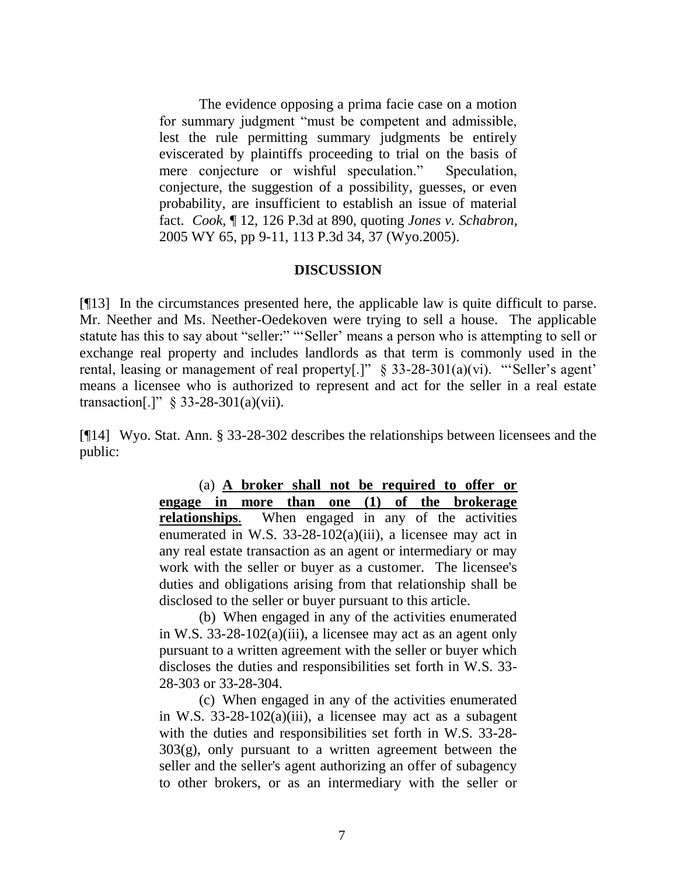The evidence opposing a prima facie case on a motion for summary judgment "must be competent and admissible, lest the rule permitting summary judgments be entirely eviscerated by plaintiffs proceeding to trial on the basis of mere conjecture or wishful speculation." Speculation, conjecture, the suggestion of a possibility, guesses, or even probability, are insufficient to establish an issue of material fact. *Cook*, ¶ 12, 126 P.3d at 890, quoting *Jones v. Schabron*, 2005 WY 65, pp 9-11, 113 P.3d 34, 37 (Wyo.2005).

#### **DISCUSSION**

[¶13] In the circumstances presented here, the applicable law is quite difficult to parse. Mr. Neether and Ms. Neether-Oedekoven were trying to sell a house. The applicable statute has this to say about "seller:" "'Seller' means a person who is attempting to sell or exchange real property and includes landlords as that term is commonly used in the rental, leasing or management of real property[.]"  $\S$  33-28-301(a)(vi). "Seller's agent' means a licensee who is authorized to represent and act for the seller in a real estate transaction[.]" § 33-28-301(a)(vii).

[¶14] Wyo. Stat. Ann. § 33-28-302 describes the relationships between licensees and the public:

> (a) **A broker shall not be required to offer or engage in more than one (1) of the brokerage relationships**. When engaged in any of the activities enumerated in W.S. 33-28-102(a)(iii), a licensee may act in any real estate transaction as an agent or intermediary or may work with the seller or buyer as a customer. The licensee's duties and obligations arising from that relationship shall be disclosed to the seller or buyer pursuant to this article.

> (b) When engaged in any of the activities enumerated in W.S. 33-28-102(a)(iii), a licensee may act as an agent only pursuant to a written agreement with the seller or buyer which discloses the duties and responsibilities set forth in W.S. 33- 28-303 or 33-28-304.

> (c) When engaged in any of the activities enumerated in W.S. 33-28-102(a)(iii), a licensee may act as a subagent with the duties and responsibilities set forth in W.S. 33-28-  $303(g)$ , only pursuant to a written agreement between the seller and the seller's agent authorizing an offer of subagency to other brokers, or as an intermediary with the seller or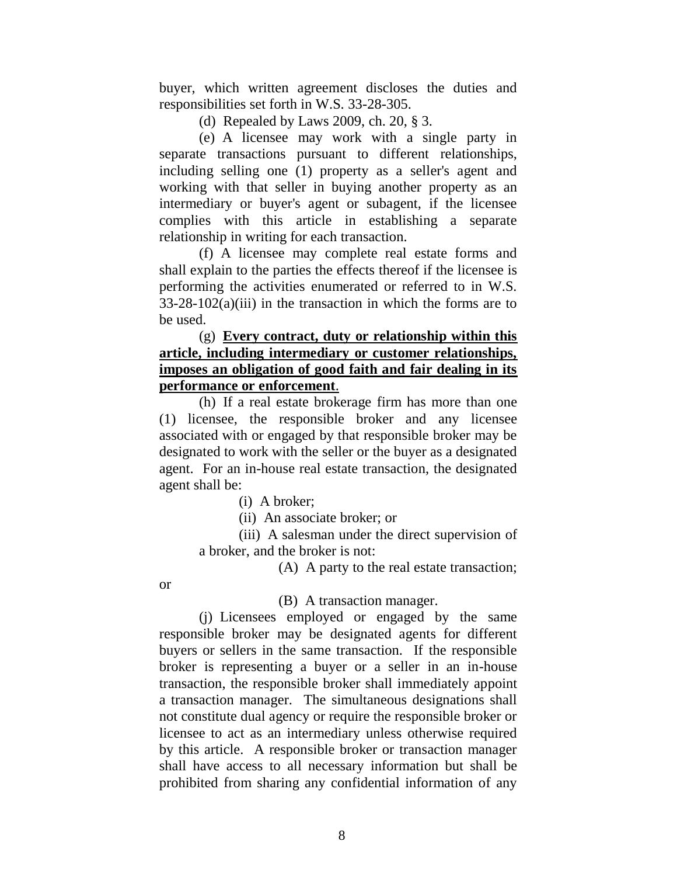buyer, which written agreement discloses the duties and responsibilities set forth in W.S. 33-28-305.

(d) Repealed by Laws 2009, ch. 20, § 3.

(e) A licensee may work with a single party in separate transactions pursuant to different relationships, including selling one (1) property as a seller's agent and working with that seller in buying another property as an intermediary or buyer's agent or subagent, if the licensee complies with this article in establishing a separate relationship in writing for each transaction.

(f) A licensee may complete real estate forms and shall explain to the parties the effects thereof if the licensee is performing the activities enumerated or referred to in W.S.  $33-28-102(a)(iii)$  in the transaction in which the forms are to be used.

# (g) **Every contract, duty or relationship within this article, including intermediary or customer relationships, imposes an obligation of good faith and fair dealing in its performance or enforcement**.

(h) If a real estate brokerage firm has more than one (1) licensee, the responsible broker and any licensee associated with or engaged by that responsible broker may be designated to work with the seller or the buyer as a designated agent. For an in-house real estate transaction, the designated agent shall be:

(i) A broker;

(ii) An associate broker; or

(iii) A salesman under the direct supervision of a broker, and the broker is not:

(A) A party to the real estate transaction;

or

### (B) A transaction manager.

(j) Licensees employed or engaged by the same responsible broker may be designated agents for different buyers or sellers in the same transaction. If the responsible broker is representing a buyer or a seller in an in-house transaction, the responsible broker shall immediately appoint a transaction manager. The simultaneous designations shall not constitute dual agency or require the responsible broker or licensee to act as an intermediary unless otherwise required by this article. A responsible broker or transaction manager shall have access to all necessary information but shall be prohibited from sharing any confidential information of any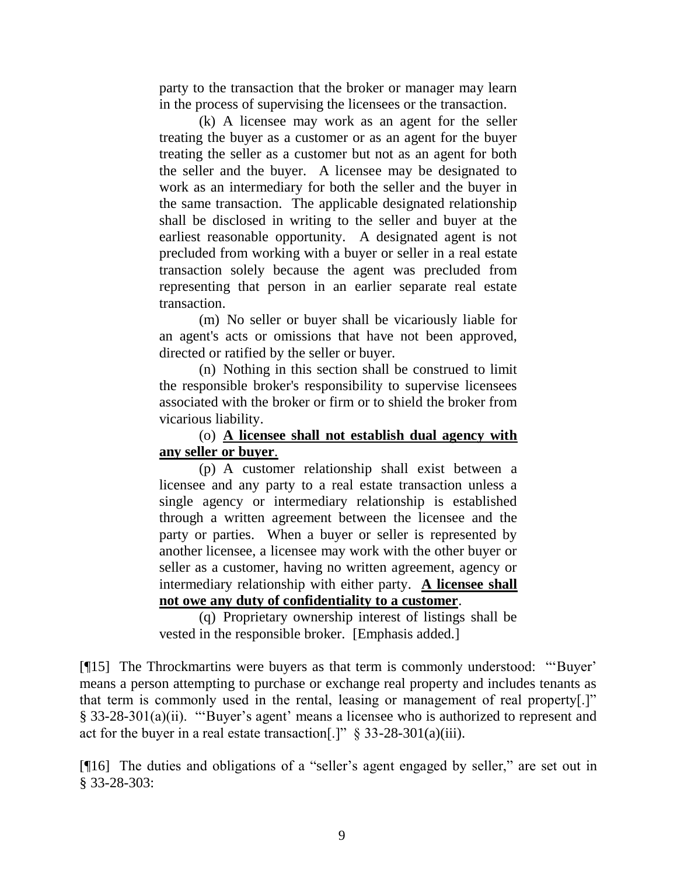party to the transaction that the broker or manager may learn in the process of supervising the licensees or the transaction.

(k) A licensee may work as an agent for the seller treating the buyer as a customer or as an agent for the buyer treating the seller as a customer but not as an agent for both the seller and the buyer. A licensee may be designated to work as an intermediary for both the seller and the buyer in the same transaction. The applicable designated relationship shall be disclosed in writing to the seller and buyer at the earliest reasonable opportunity. A designated agent is not precluded from working with a buyer or seller in a real estate transaction solely because the agent was precluded from representing that person in an earlier separate real estate transaction.

(m) No seller or buyer shall be vicariously liable for an agent's acts or omissions that have not been approved, directed or ratified by the seller or buyer.

(n) Nothing in this section shall be construed to limit the responsible broker's responsibility to supervise licensees associated with the broker or firm or to shield the broker from vicarious liability.

# (o) **A licensee shall not establish dual agency with any seller or buyer**.

(p) A customer relationship shall exist between a licensee and any party to a real estate transaction unless a single agency or intermediary relationship is established through a written agreement between the licensee and the party or parties. When a buyer or seller is represented by another licensee, a licensee may work with the other buyer or seller as a customer, having no written agreement, agency or intermediary relationship with either party. **A licensee shall not owe any duty of confidentiality to a customer**.

(q) Proprietary ownership interest of listings shall be vested in the responsible broker. [Emphasis added.]

[¶15] The Throckmartins were buyers as that term is commonly understood: ""Buyer" means a person attempting to purchase or exchange real property and includes tenants as that term is commonly used in the rental, leasing or management of real property[.]" § 33-28-301(a)(ii). ""Buyer"s agent" means a licensee who is authorized to represent and act for the buyer in a real estate transaction[.]"  $\S$  33-28-301(a)(iii).

[¶16] The duties and obligations of a "seller"s agent engaged by seller," are set out in § 33-28-303: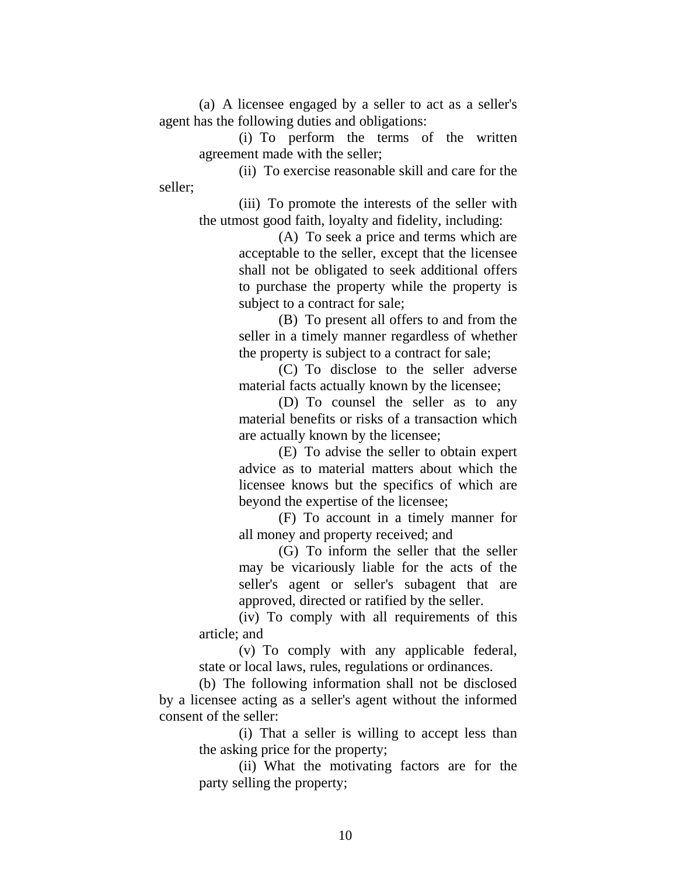(a) A licensee engaged by a seller to act as a seller's agent has the following duties and obligations:

> (i) To perform the terms of the written agreement made with the seller;

(ii) To exercise reasonable skill and care for the seller;

> (iii) To promote the interests of the seller with the utmost good faith, loyalty and fidelity, including:

> > (A) To seek a price and terms which are acceptable to the seller, except that the licensee shall not be obligated to seek additional offers to purchase the property while the property is subject to a contract for sale;

> > (B) To present all offers to and from the seller in a timely manner regardless of whether the property is subject to a contract for sale;

> > (C) To disclose to the seller adverse material facts actually known by the licensee;

> > (D) To counsel the seller as to any material benefits or risks of a transaction which are actually known by the licensee;

> > (E) To advise the seller to obtain expert advice as to material matters about which the licensee knows but the specifics of which are beyond the expertise of the licensee;

> > (F) To account in a timely manner for all money and property received; and

> > (G) To inform the seller that the seller may be vicariously liable for the acts of the seller's agent or seller's subagent that are approved, directed or ratified by the seller.

(iv) To comply with all requirements of this article; and

(v) To comply with any applicable federal, state or local laws, rules, regulations or ordinances.

(b) The following information shall not be disclosed by a licensee acting as a seller's agent without the informed consent of the seller:

> (i) That a seller is willing to accept less than the asking price for the property;

> (ii) What the motivating factors are for the party selling the property;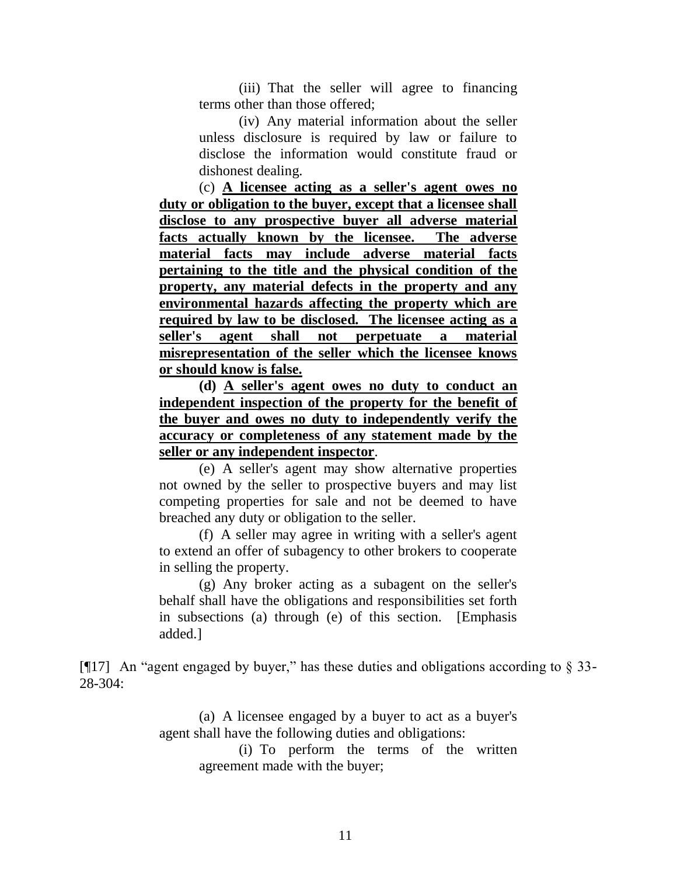(iii) That the seller will agree to financing terms other than those offered;

(iv) Any material information about the seller unless disclosure is required by law or failure to disclose the information would constitute fraud or dishonest dealing.

(c) **A licensee acting as a seller's agent owes no duty or obligation to the buyer, except that a licensee shall disclose to any prospective buyer all adverse material facts actually known by the licensee. The adverse material facts may include adverse material facts pertaining to the title and the physical condition of the property, any material defects in the property and any environmental hazards affecting the property which are required by law to be disclosed. The licensee acting as a seller's agent shall not perpetuate a material misrepresentation of the seller which the licensee knows or should know is false.**

**(d) A seller's agent owes no duty to conduct an independent inspection of the property for the benefit of the buyer and owes no duty to independently verify the accuracy or completeness of any statement made by the seller or any independent inspector**.

(e) A seller's agent may show alternative properties not owned by the seller to prospective buyers and may list competing properties for sale and not be deemed to have breached any duty or obligation to the seller.

(f) A seller may agree in writing with a seller's agent to extend an offer of subagency to other brokers to cooperate in selling the property.

(g) Any broker acting as a subagent on the seller's behalf shall have the obligations and responsibilities set forth in subsections (a) through (e) of this section. [Emphasis added.]

[¶17] An "agent engaged by buyer," has these duties and obligations according to § 33- 28-304:

> (a) A licensee engaged by a buyer to act as a buyer's agent shall have the following duties and obligations:

(i) To perform the terms of the written agreement made with the buyer;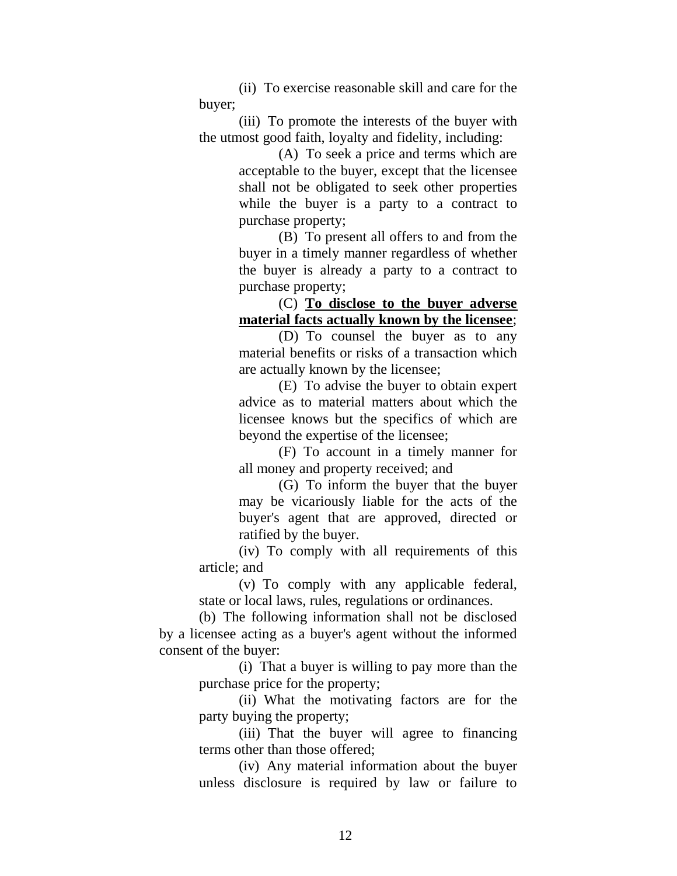(ii) To exercise reasonable skill and care for the buyer;

(iii) To promote the interests of the buyer with the utmost good faith, loyalty and fidelity, including:

> (A) To seek a price and terms which are acceptable to the buyer, except that the licensee shall not be obligated to seek other properties while the buyer is a party to a contract to purchase property;

> (B) To present all offers to and from the buyer in a timely manner regardless of whether the buyer is already a party to a contract to purchase property;

> (C) **To disclose to the buyer adverse material facts actually known by the licensee**;

> (D) To counsel the buyer as to any material benefits or risks of a transaction which are actually known by the licensee;

> (E) To advise the buyer to obtain expert advice as to material matters about which the licensee knows but the specifics of which are beyond the expertise of the licensee;

> (F) To account in a timely manner for all money and property received; and

> (G) To inform the buyer that the buyer may be vicariously liable for the acts of the buyer's agent that are approved, directed or ratified by the buyer.

(iv) To comply with all requirements of this article; and

(v) To comply with any applicable federal, state or local laws, rules, regulations or ordinances.

(b) The following information shall not be disclosed by a licensee acting as a buyer's agent without the informed consent of the buyer:

> (i) That a buyer is willing to pay more than the purchase price for the property;

> (ii) What the motivating factors are for the party buying the property;

> (iii) That the buyer will agree to financing terms other than those offered;

> (iv) Any material information about the buyer unless disclosure is required by law or failure to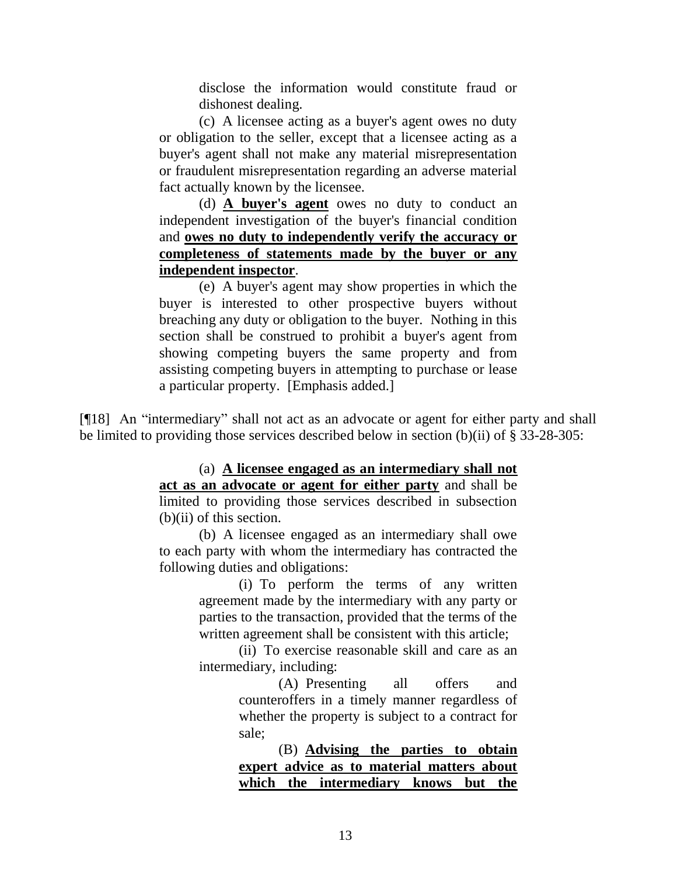disclose the information would constitute fraud or dishonest dealing.

(c) A licensee acting as a buyer's agent owes no duty or obligation to the seller, except that a licensee acting as a buyer's agent shall not make any material misrepresentation or fraudulent misrepresentation regarding an adverse material fact actually known by the licensee.

(d) **A buyer's agent** owes no duty to conduct an independent investigation of the buyer's financial condition and **owes no duty to independently verify the accuracy or completeness of statements made by the buyer or any independent inspector**.

(e) A buyer's agent may show properties in which the buyer is interested to other prospective buyers without breaching any duty or obligation to the buyer. Nothing in this section shall be construed to prohibit a buyer's agent from showing competing buyers the same property and from assisting competing buyers in attempting to purchase or lease a particular property. [Emphasis added.]

[¶18] An "intermediary" shall not act as an advocate or agent for either party and shall be limited to providing those services described below in section (b)(ii) of § 33-28-305:

> (a) **A licensee engaged as an intermediary shall not act as an advocate or agent for either party** and shall be limited to providing those services described in subsection (b)(ii) of this section.

> (b) A licensee engaged as an intermediary shall owe to each party with whom the intermediary has contracted the following duties and obligations:

> > (i) To perform the terms of any written agreement made by the intermediary with any party or parties to the transaction, provided that the terms of the written agreement shall be consistent with this article;

> > (ii) To exercise reasonable skill and care as an intermediary, including:

> > > (A) Presenting all offers and counteroffers in a timely manner regardless of whether the property is subject to a contract for sale;

> > > (B) **Advising the parties to obtain expert advice as to material matters about which the intermediary knows but the**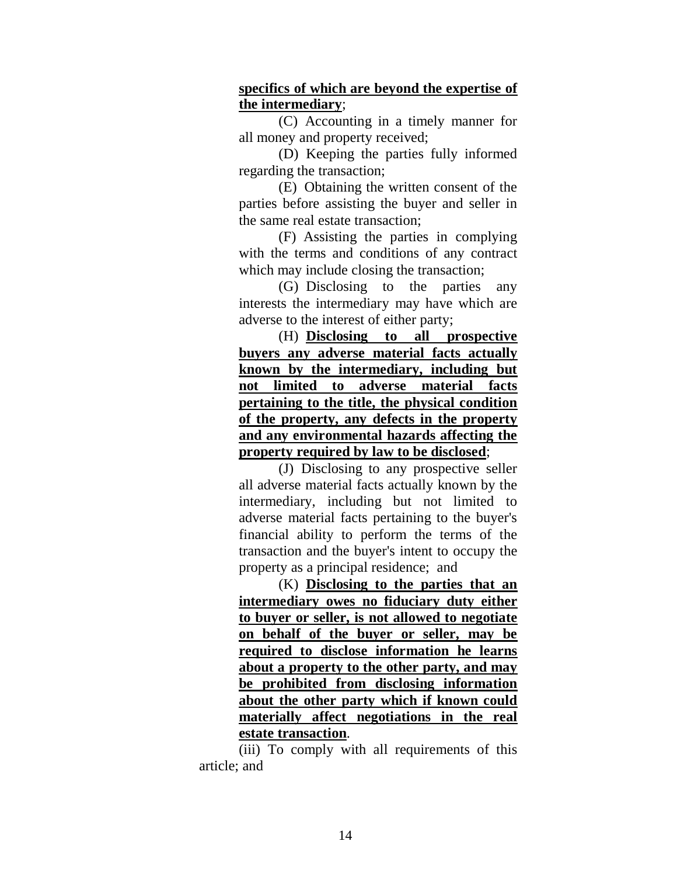### **specifics of which are beyond the expertise of the intermediary**;

(C) Accounting in a timely manner for all money and property received;

(D) Keeping the parties fully informed regarding the transaction;

(E) Obtaining the written consent of the parties before assisting the buyer and seller in the same real estate transaction;

(F) Assisting the parties in complying with the terms and conditions of any contract which may include closing the transaction;

(G) Disclosing to the parties any interests the intermediary may have which are adverse to the interest of either party;

(H) **Disclosing to all prospective buyers any adverse material facts actually known by the intermediary, including but not limited to adverse material facts pertaining to the title, the physical condition of the property, any defects in the property and any environmental hazards affecting the property required by law to be disclosed**;

(J) Disclosing to any prospective seller all adverse material facts actually known by the intermediary, including but not limited to adverse material facts pertaining to the buyer's financial ability to perform the terms of the transaction and the buyer's intent to occupy the property as a principal residence; and

(K) **Disclosing to the parties that an intermediary owes no fiduciary duty either to buyer or seller, is not allowed to negotiate on behalf of the buyer or seller, may be required to disclose information he learns about a property to the other party, and may be prohibited from disclosing information about the other party which if known could materially affect negotiations in the real estate transaction**.

(iii) To comply with all requirements of this article; and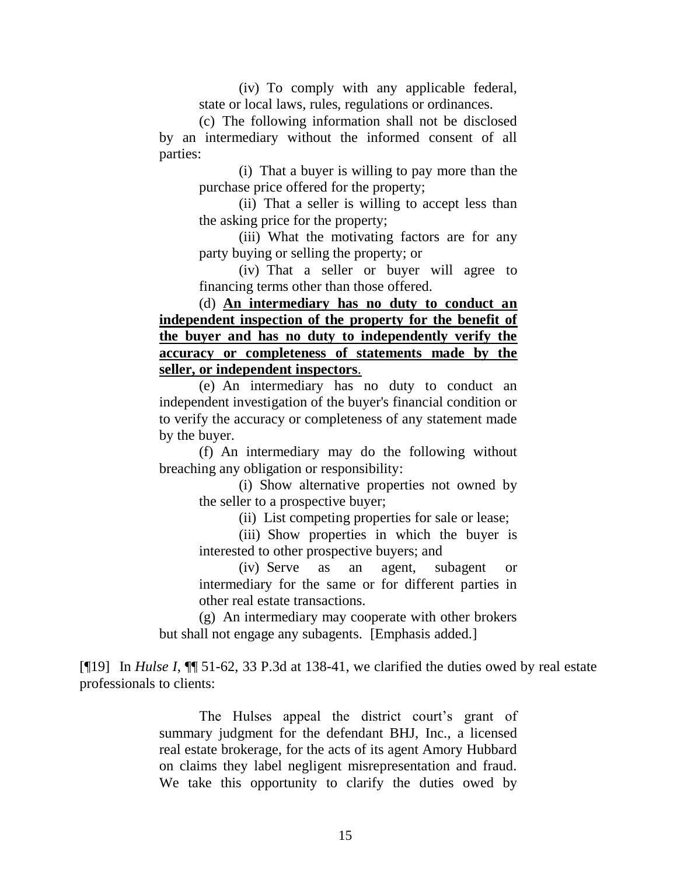(iv) To comply with any applicable federal, state or local laws, rules, regulations or ordinances.

(c) The following information shall not be disclosed by an intermediary without the informed consent of all parties:

> (i) That a buyer is willing to pay more than the purchase price offered for the property;

> (ii) That a seller is willing to accept less than the asking price for the property;

> (iii) What the motivating factors are for any party buying or selling the property; or

> (iv) That a seller or buyer will agree to financing terms other than those offered.

(d) **An intermediary has no duty to conduct an independent inspection of the property for the benefit of the buyer and has no duty to independently verify the accuracy or completeness of statements made by the seller, or independent inspectors**.

(e) An intermediary has no duty to conduct an independent investigation of the buyer's financial condition or to verify the accuracy or completeness of any statement made by the buyer.

(f) An intermediary may do the following without breaching any obligation or responsibility:

> (i) Show alternative properties not owned by the seller to a prospective buyer;

> > (ii) List competing properties for sale or lease;

(iii) Show properties in which the buyer is interested to other prospective buyers; and

(iv) Serve as an agent, subagent or intermediary for the same or for different parties in other real estate transactions.

(g) An intermediary may cooperate with other brokers but shall not engage any subagents. [Emphasis added.]

[¶19] In *Hulse I*, ¶¶ 51-62, 33 P.3d at 138-41, we clarified the duties owed by real estate professionals to clients:

> The Hulses appeal the district court's grant of summary judgment for the defendant BHJ, Inc., a licensed real estate brokerage, for the acts of its agent Amory Hubbard on claims they label negligent misrepresentation and fraud. We take this opportunity to clarify the duties owed by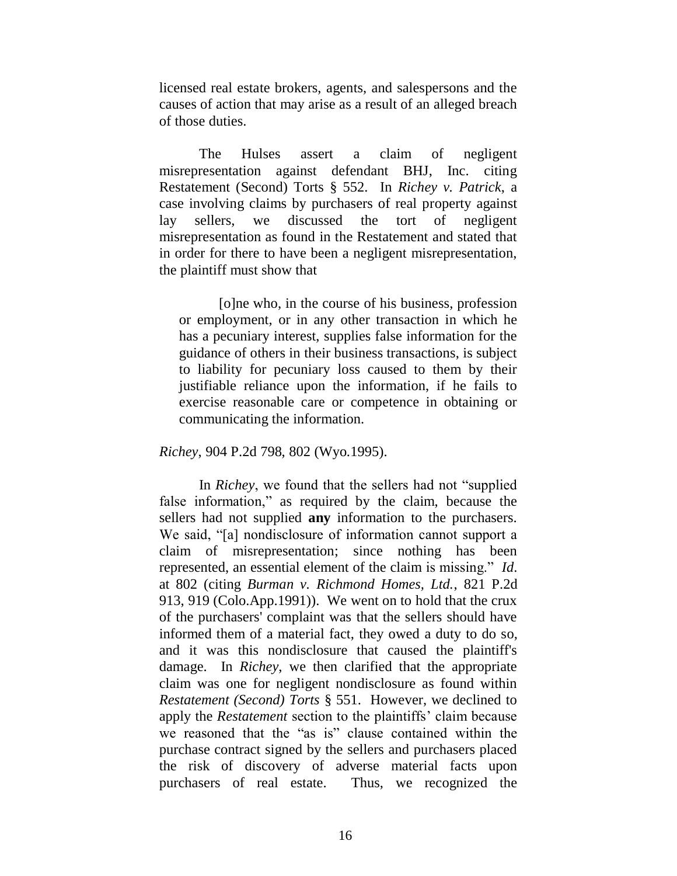licensed real estate brokers, agents, and salespersons and the causes of action that may arise as a result of an alleged breach of those duties.

The Hulses assert a claim of negligent misrepresentation against defendant BHJ, Inc. citing Restatement (Second) Torts § 552. In *Richey v. Patrick*, a case involving claims by purchasers of real property against lay sellers, we discussed the tort of negligent misrepresentation as found in the Restatement and stated that in order for there to have been a negligent misrepresentation, the plaintiff must show that

[o]ne who, in the course of his business, profession or employment, or in any other transaction in which he has a pecuniary interest, supplies false information for the guidance of others in their business transactions, is subject to liability for pecuniary loss caused to them by their justifiable reliance upon the information, if he fails to exercise reasonable care or competence in obtaining or communicating the information.

*Richey*, 904 P.2d 798, 802 (Wyo.1995).

In *Richey*, we found that the sellers had not "supplied false information," as required by the claim, because the sellers had not supplied **any** information to the purchasers. We said, "[a] nondisclosure of information cannot support a claim of misrepresentation; since nothing has been represented, an essential element of the claim is missing." *Id*. at 802 (citing *Burman v. Richmond Homes, Ltd.*, 821 P.2d 913, 919 (Colo.App.1991)). We went on to hold that the crux of the purchasers' complaint was that the sellers should have informed them of a material fact, they owed a duty to do so, and it was this nondisclosure that caused the plaintiff's damage. In *Richey*, we then clarified that the appropriate claim was one for negligent nondisclosure as found within *Restatement (Second) Torts* § 551. However, we declined to apply the *Restatement* section to the plaintiffs" claim because we reasoned that the "as is" clause contained within the purchase contract signed by the sellers and purchasers placed the risk of discovery of adverse material facts upon purchasers of real estate. Thus, we recognized the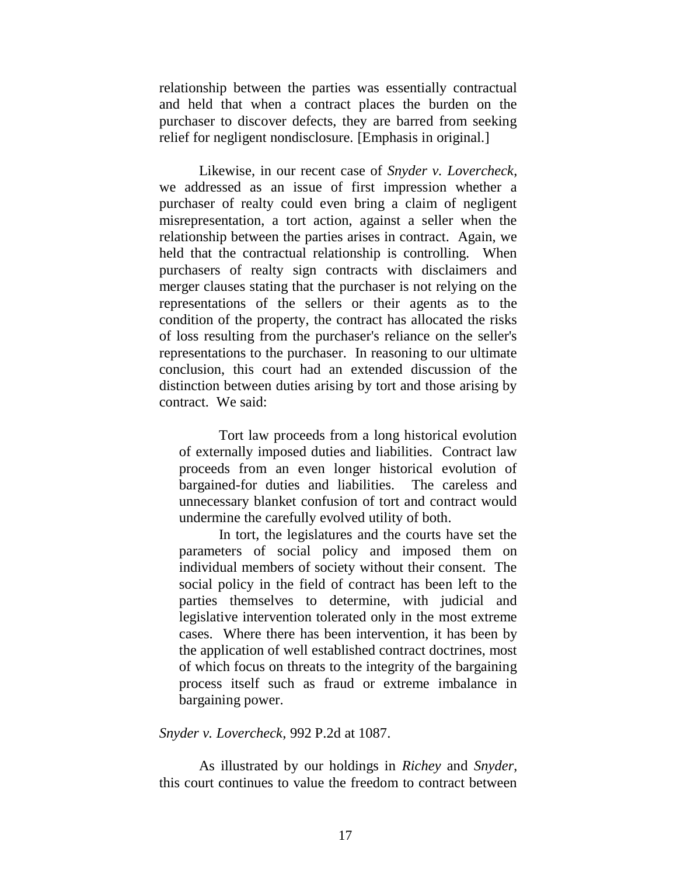relationship between the parties was essentially contractual and held that when a contract places the burden on the purchaser to discover defects, they are barred from seeking relief for negligent nondisclosure. [Emphasis in original.]

Likewise, in our recent case of *Snyder v. Lovercheck*, we addressed as an issue of first impression whether a purchaser of realty could even bring a claim of negligent misrepresentation, a tort action, against a seller when the relationship between the parties arises in contract. Again, we held that the contractual relationship is controlling. When purchasers of realty sign contracts with disclaimers and merger clauses stating that the purchaser is not relying on the representations of the sellers or their agents as to the condition of the property, the contract has allocated the risks of loss resulting from the purchaser's reliance on the seller's representations to the purchaser. In reasoning to our ultimate conclusion, this court had an extended discussion of the distinction between duties arising by tort and those arising by contract. We said:

Tort law proceeds from a long historical evolution of externally imposed duties and liabilities. Contract law proceeds from an even longer historical evolution of bargained-for duties and liabilities. The careless and unnecessary blanket confusion of tort and contract would undermine the carefully evolved utility of both.

In tort, the legislatures and the courts have set the parameters of social policy and imposed them on individual members of society without their consent. The social policy in the field of contract has been left to the parties themselves to determine, with judicial and legislative intervention tolerated only in the most extreme cases. Where there has been intervention, it has been by the application of well established contract doctrines, most of which focus on threats to the integrity of the bargaining process itself such as fraud or extreme imbalance in bargaining power.

#### *Snyder v. Lovercheck*, 992 P.2d at 1087.

As illustrated by our holdings in *Richey* and *Snyder*, this court continues to value the freedom to contract between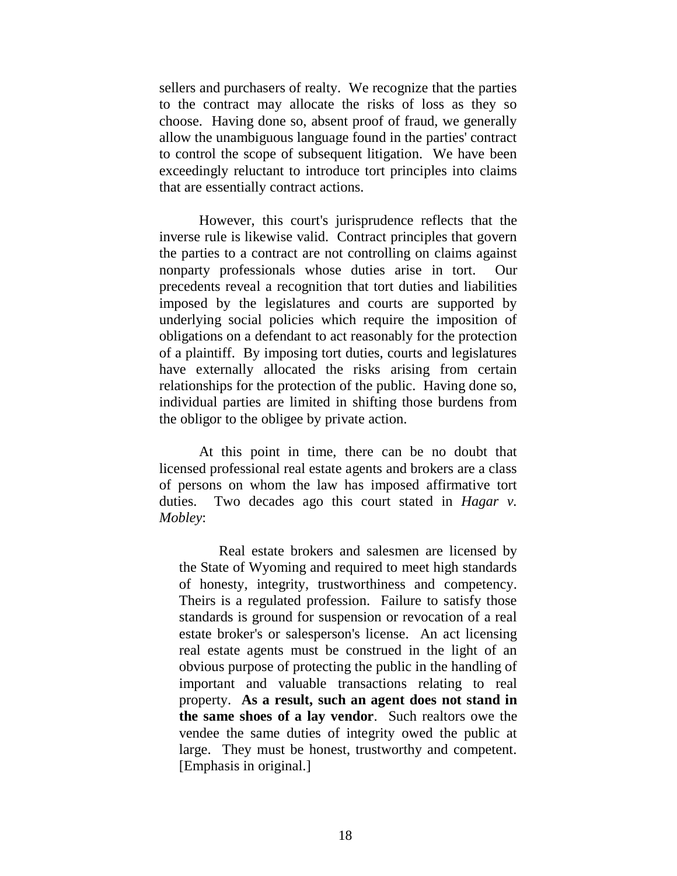sellers and purchasers of realty. We recognize that the parties to the contract may allocate the risks of loss as they so choose. Having done so, absent proof of fraud, we generally allow the unambiguous language found in the parties' contract to control the scope of subsequent litigation. We have been exceedingly reluctant to introduce tort principles into claims that are essentially contract actions.

However, this court's jurisprudence reflects that the inverse rule is likewise valid. Contract principles that govern the parties to a contract are not controlling on claims against nonparty professionals whose duties arise in tort. Our precedents reveal a recognition that tort duties and liabilities imposed by the legislatures and courts are supported by underlying social policies which require the imposition of obligations on a defendant to act reasonably for the protection of a plaintiff. By imposing tort duties, courts and legislatures have externally allocated the risks arising from certain relationships for the protection of the public. Having done so, individual parties are limited in shifting those burdens from the obligor to the obligee by private action.

At this point in time, there can be no doubt that licensed professional real estate agents and brokers are a class of persons on whom the law has imposed affirmative tort duties. Two decades ago this court stated in *Hagar v. Mobley*:

Real estate brokers and salesmen are licensed by the State of Wyoming and required to meet high standards of honesty, integrity, trustworthiness and competency. Theirs is a regulated profession. Failure to satisfy those standards is ground for suspension or revocation of a real estate broker's or salesperson's license. An act licensing real estate agents must be construed in the light of an obvious purpose of protecting the public in the handling of important and valuable transactions relating to real property. **As a result, such an agent does not stand in the same shoes of a lay vendor**. Such realtors owe the vendee the same duties of integrity owed the public at large. They must be honest, trustworthy and competent. [Emphasis in original.]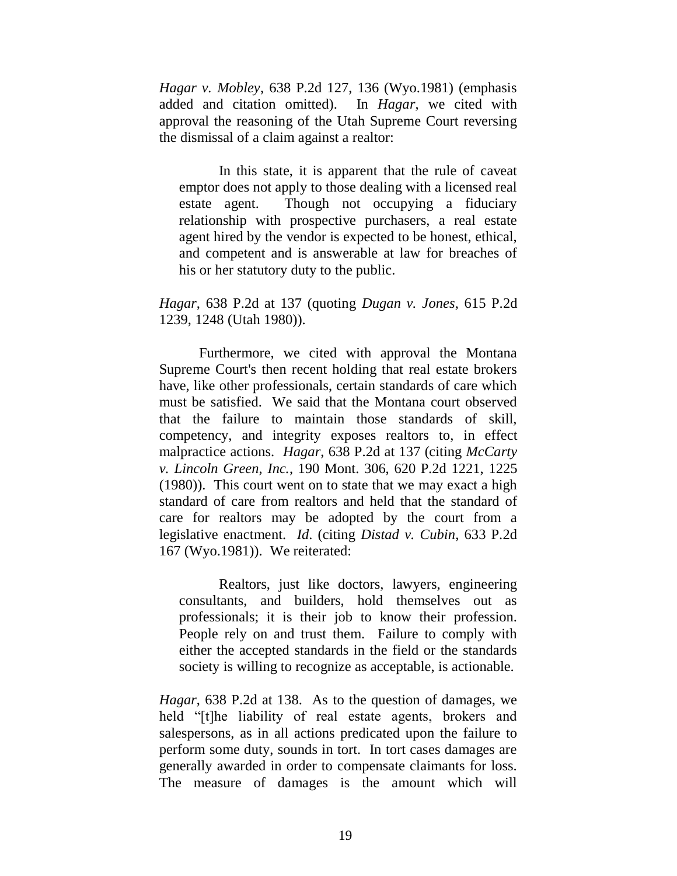*Hagar v. Mobley*, 638 P.2d 127, 136 (Wyo.1981) (emphasis added and citation omitted). In *Hagar*, we cited with approval the reasoning of the Utah Supreme Court reversing the dismissal of a claim against a realtor:

In this state, it is apparent that the rule of caveat emptor does not apply to those dealing with a licensed real estate agent. Though not occupying a fiduciary relationship with prospective purchasers, a real estate agent hired by the vendor is expected to be honest, ethical, and competent and is answerable at law for breaches of his or her statutory duty to the public.

### *Hagar*, 638 P.2d at 137 (quoting *Dugan v. Jones*, 615 P.2d 1239, 1248 (Utah 1980)).

Furthermore, we cited with approval the Montana Supreme Court's then recent holding that real estate brokers have, like other professionals, certain standards of care which must be satisfied. We said that the Montana court observed that the failure to maintain those standards of skill, competency, and integrity exposes realtors to, in effect malpractice actions. *Hagar*, 638 P.2d at 137 (citing *McCarty v. Lincoln Green, Inc.*, 190 Mont. 306, 620 P.2d 1221, 1225 (1980)). This court went on to state that we may exact a high standard of care from realtors and held that the standard of care for realtors may be adopted by the court from a legislative enactment. *Id*. (citing *Distad v. Cubin*, 633 P.2d 167 (Wyo.1981)). We reiterated:

Realtors, just like doctors, lawyers, engineering consultants, and builders, hold themselves out as professionals; it is their job to know their profession. People rely on and trust them. Failure to comply with either the accepted standards in the field or the standards society is willing to recognize as acceptable, is actionable.

*Hagar*, 638 P.2d at 138. As to the question of damages, we held "[t]he liability of real estate agents, brokers and salespersons, as in all actions predicated upon the failure to perform some duty, sounds in tort. In tort cases damages are generally awarded in order to compensate claimants for loss. The measure of damages is the amount which will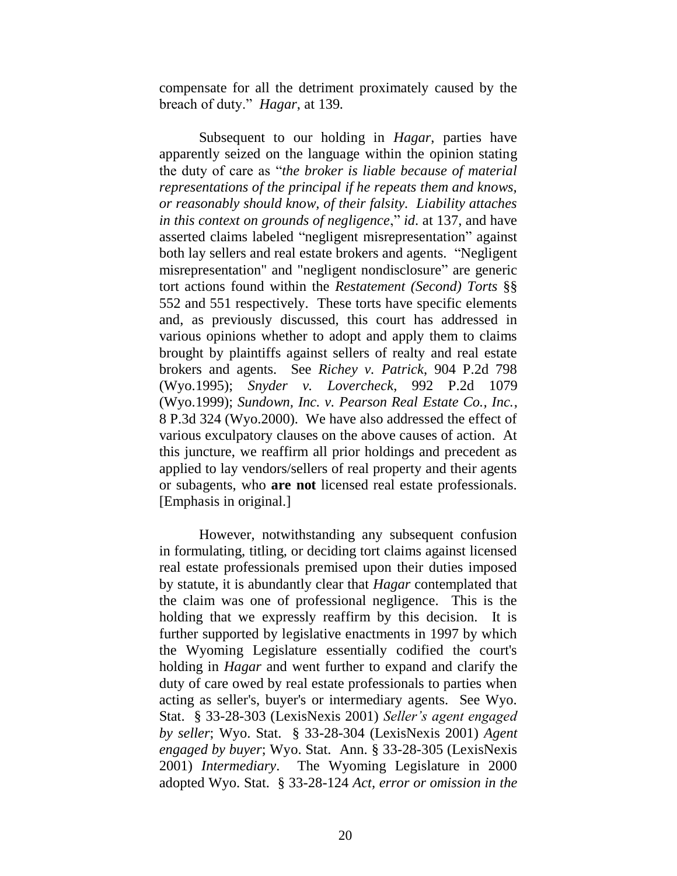compensate for all the detriment proximately caused by the breach of duty." *Hagar*, at 139.

Subsequent to our holding in *Hagar*, parties have apparently seized on the language within the opinion stating the duty of care as "*the broker is liable because of material representations of the principal if he repeats them and knows, or reasonably should know, of their falsity. Liability attaches in this context on grounds of negligence*," *id*. at 137, and have asserted claims labeled "negligent misrepresentation" against both lay sellers and real estate brokers and agents. "Negligent misrepresentation" and "negligent nondisclosure" are generic tort actions found within the *Restatement (Second) Torts* §§ 552 and 551 respectively. These torts have specific elements and, as previously discussed, this court has addressed in various opinions whether to adopt and apply them to claims brought by plaintiffs against sellers of realty and real estate brokers and agents. See *Richey v. Patrick*, 904 P.2d 798 (Wyo.1995); *Snyder v. Lovercheck*, 992 P.2d 1079 (Wyo.1999); *Sundown, Inc. v. Pearson Real Estate Co., Inc.*, 8 P.3d 324 (Wyo.2000). We have also addressed the effect of various exculpatory clauses on the above causes of action. At this juncture, we reaffirm all prior holdings and precedent as applied to lay vendors/sellers of real property and their agents or subagents, who **are not** licensed real estate professionals. [Emphasis in original.]

However, notwithstanding any subsequent confusion in formulating, titling, or deciding tort claims against licensed real estate professionals premised upon their duties imposed by statute, it is abundantly clear that *Hagar* contemplated that the claim was one of professional negligence. This is the holding that we expressly reaffirm by this decision. It is further supported by legislative enactments in 1997 by which the Wyoming Legislature essentially codified the court's holding in *Hagar* and went further to expand and clarify the duty of care owed by real estate professionals to parties when acting as seller's, buyer's or intermediary agents. See Wyo. Stat. § 33-28-303 (LexisNexis 2001) *Seller's agent engaged by seller*; Wyo. Stat. § 33-28-304 (LexisNexis 2001) *Agent engaged by buyer*; Wyo. Stat. Ann. § 33-28-305 (LexisNexis 2001) *Intermediary*. The Wyoming Legislature in 2000 adopted Wyo. Stat. § 33-28-124 *Act, error or omission in the*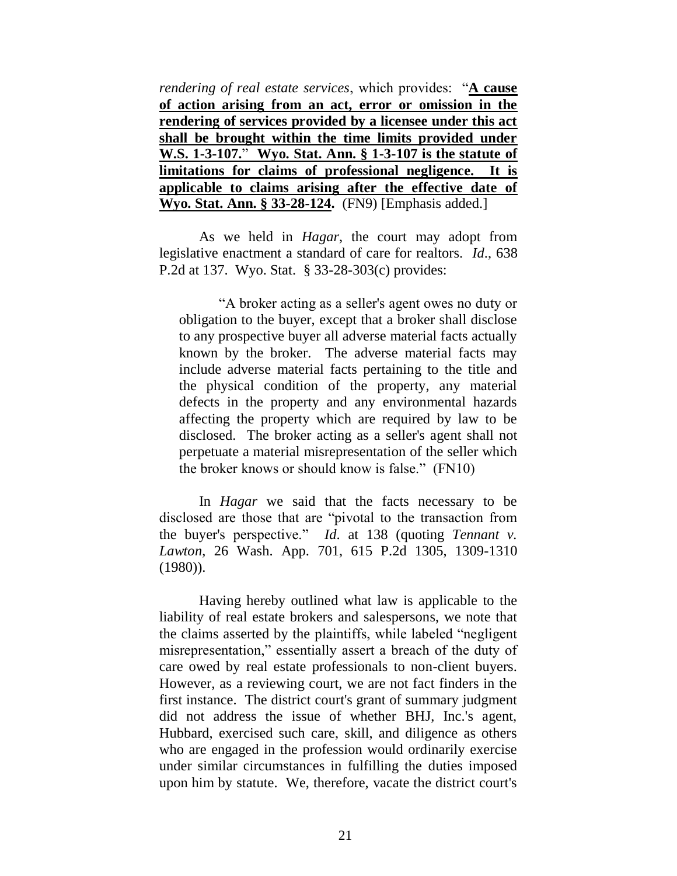*rendering of real estate services*, which provides: "**A cause of action arising from an act, error or omission in the rendering of services provided by a licensee under this act shall be brought within the time limits provided under W.S. 1-3-107.**" **Wyo. Stat. Ann. § 1-3-107 is the statute of limitations for claims of professional negligence. It is applicable to claims arising after the effective date of Wyo. Stat. Ann. § 33-28-124.** (FN9) [Emphasis added.]

As we held in *Hagar*, the court may adopt from legislative enactment a standard of care for realtors. *Id*., 638 P.2d at 137. Wyo. Stat. § 33-28-303(c) provides:

"A broker acting as a seller's agent owes no duty or obligation to the buyer, except that a broker shall disclose to any prospective buyer all adverse material facts actually known by the broker. The adverse material facts may include adverse material facts pertaining to the title and the physical condition of the property, any material defects in the property and any environmental hazards affecting the property which are required by law to be disclosed. The broker acting as a seller's agent shall not perpetuate a material misrepresentation of the seller which the broker knows or should know is false." (FN10)

In *Hagar* we said that the facts necessary to be disclosed are those that are "pivotal to the transaction from the buyer's perspective." *Id*. at 138 (quoting *Tennant v. Lawton*, 26 Wash. App. 701, 615 P.2d 1305, 1309-1310 (1980)).

Having hereby outlined what law is applicable to the liability of real estate brokers and salespersons, we note that the claims asserted by the plaintiffs, while labeled "negligent misrepresentation," essentially assert a breach of the duty of care owed by real estate professionals to non-client buyers. However, as a reviewing court, we are not fact finders in the first instance. The district court's grant of summary judgment did not address the issue of whether BHJ, Inc.'s agent, Hubbard, exercised such care, skill, and diligence as others who are engaged in the profession would ordinarily exercise under similar circumstances in fulfilling the duties imposed upon him by statute. We, therefore, vacate the district court's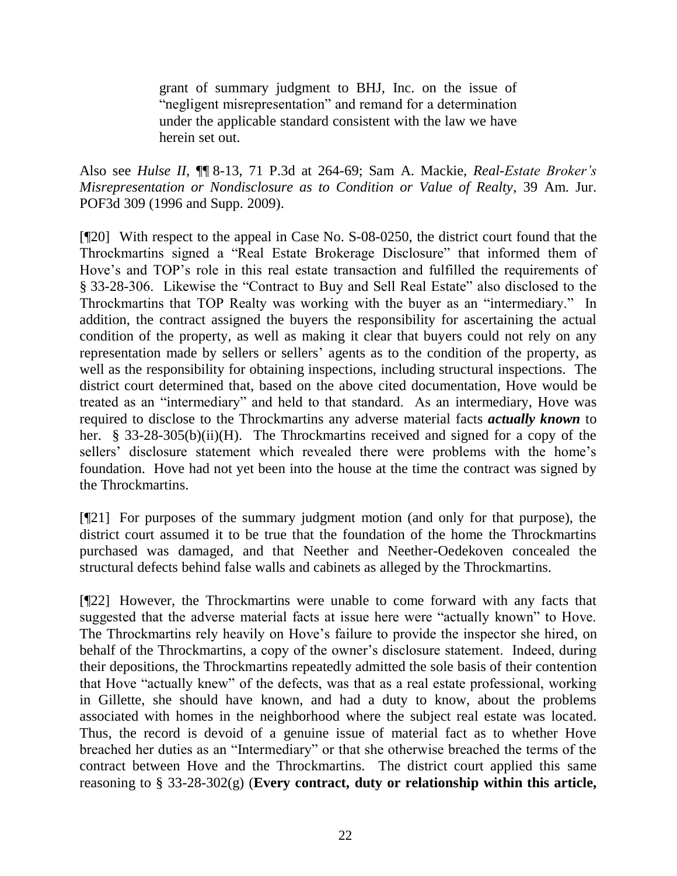grant of summary judgment to BHJ, Inc. on the issue of "negligent misrepresentation" and remand for a determination under the applicable standard consistent with the law we have herein set out.

Also see *Hulse II*, ¶¶ 8-13, 71 P.3d at 264-69; Sam A. Mackie, *Real-Estate Broker's Misrepresentation or Nondisclosure as to Condition or Value of Realty*, 39 Am. Jur. POF3d 309 (1996 and Supp. 2009).

[¶20] With respect to the appeal in Case No. S-08-0250, the district court found that the Throckmartins signed a "Real Estate Brokerage Disclosure" that informed them of Hove's and TOP's role in this real estate transaction and fulfilled the requirements of § 33-28-306. Likewise the "Contract to Buy and Sell Real Estate" also disclosed to the Throckmartins that TOP Realty was working with the buyer as an "intermediary." In addition, the contract assigned the buyers the responsibility for ascertaining the actual condition of the property, as well as making it clear that buyers could not rely on any representation made by sellers or sellers' agents as to the condition of the property, as well as the responsibility for obtaining inspections, including structural inspections. The district court determined that, based on the above cited documentation, Hove would be treated as an "intermediary" and held to that standard. As an intermediary, Hove was required to disclose to the Throckmartins any adverse material facts *actually known* to her. § 33-28-305(b)(ii)(H). The Throckmartins received and signed for a copy of the sellers' disclosure statement which revealed there were problems with the home's foundation. Hove had not yet been into the house at the time the contract was signed by the Throckmartins.

[¶21] For purposes of the summary judgment motion (and only for that purpose), the district court assumed it to be true that the foundation of the home the Throckmartins purchased was damaged, and that Neether and Neether-Oedekoven concealed the structural defects behind false walls and cabinets as alleged by the Throckmartins.

[¶22] However, the Throckmartins were unable to come forward with any facts that suggested that the adverse material facts at issue here were "actually known" to Hove. The Throckmartins rely heavily on Hove"s failure to provide the inspector she hired, on behalf of the Throckmartins, a copy of the owner's disclosure statement. Indeed, during their depositions, the Throckmartins repeatedly admitted the sole basis of their contention that Hove "actually knew" of the defects, was that as a real estate professional, working in Gillette, she should have known, and had a duty to know, about the problems associated with homes in the neighborhood where the subject real estate was located. Thus, the record is devoid of a genuine issue of material fact as to whether Hove breached her duties as an "Intermediary" or that she otherwise breached the terms of the contract between Hove and the Throckmartins. The district court applied this same reasoning to § 33-28-302(g) (**Every contract, duty or relationship within this article,**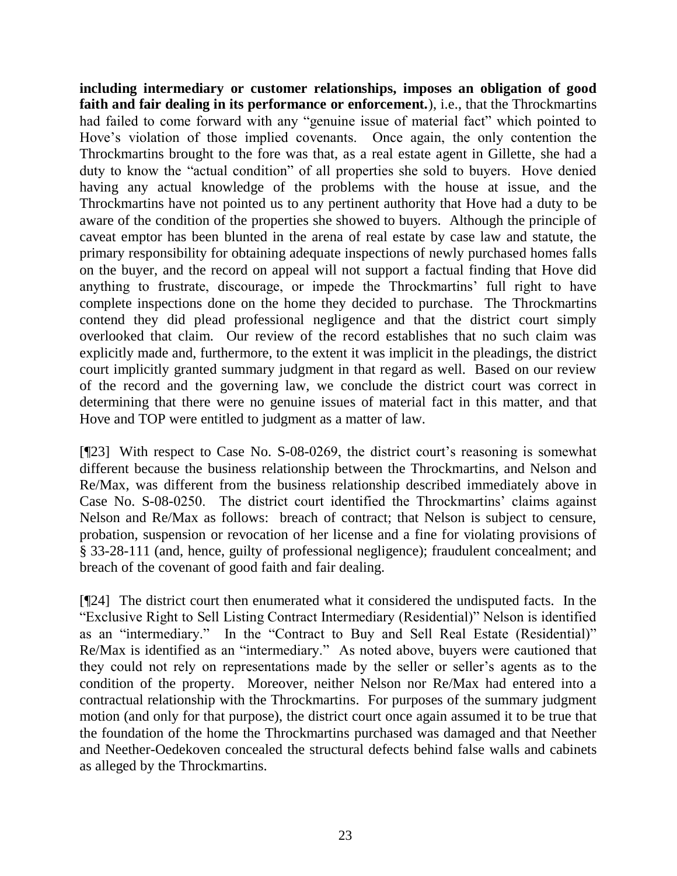**including intermediary or customer relationships, imposes an obligation of good faith and fair dealing in its performance or enforcement***.*), i.e., that the Throckmartins had failed to come forward with any "genuine issue of material fact" which pointed to Hove"s violation of those implied covenants. Once again, the only contention the Throckmartins brought to the fore was that, as a real estate agent in Gillette, she had a duty to know the "actual condition" of all properties she sold to buyers. Hove denied having any actual knowledge of the problems with the house at issue, and the Throckmartins have not pointed us to any pertinent authority that Hove had a duty to be aware of the condition of the properties she showed to buyers. Although the principle of caveat emptor has been blunted in the arena of real estate by case law and statute, the primary responsibility for obtaining adequate inspections of newly purchased homes falls on the buyer, and the record on appeal will not support a factual finding that Hove did anything to frustrate, discourage, or impede the Throckmartins' full right to have complete inspections done on the home they decided to purchase. The Throckmartins contend they did plead professional negligence and that the district court simply overlooked that claim. Our review of the record establishes that no such claim was explicitly made and, furthermore, to the extent it was implicit in the pleadings, the district court implicitly granted summary judgment in that regard as well. Based on our review of the record and the governing law, we conclude the district court was correct in determining that there were no genuine issues of material fact in this matter, and that Hove and TOP were entitled to judgment as a matter of law.

[¶23] With respect to Case No. S-08-0269, the district court's reasoning is somewhat different because the business relationship between the Throckmartins, and Nelson and Re/Max, was different from the business relationship described immediately above in Case No. S-08-0250. The district court identified the Throckmartins' claims against Nelson and Re/Max as follows: breach of contract; that Nelson is subject to censure, probation, suspension or revocation of her license and a fine for violating provisions of § 33-28-111 (and, hence, guilty of professional negligence); fraudulent concealment; and breach of the covenant of good faith and fair dealing.

[¶24] The district court then enumerated what it considered the undisputed facts. In the "Exclusive Right to Sell Listing Contract Intermediary (Residential)" Nelson is identified as an "intermediary." In the "Contract to Buy and Sell Real Estate (Residential)" Re/Max is identified as an "intermediary." As noted above, buyers were cautioned that they could not rely on representations made by the seller or seller"s agents as to the condition of the property. Moreover, neither Nelson nor Re/Max had entered into a contractual relationship with the Throckmartins. For purposes of the summary judgment motion (and only for that purpose), the district court once again assumed it to be true that the foundation of the home the Throckmartins purchased was damaged and that Neether and Neether-Oedekoven concealed the structural defects behind false walls and cabinets as alleged by the Throckmartins.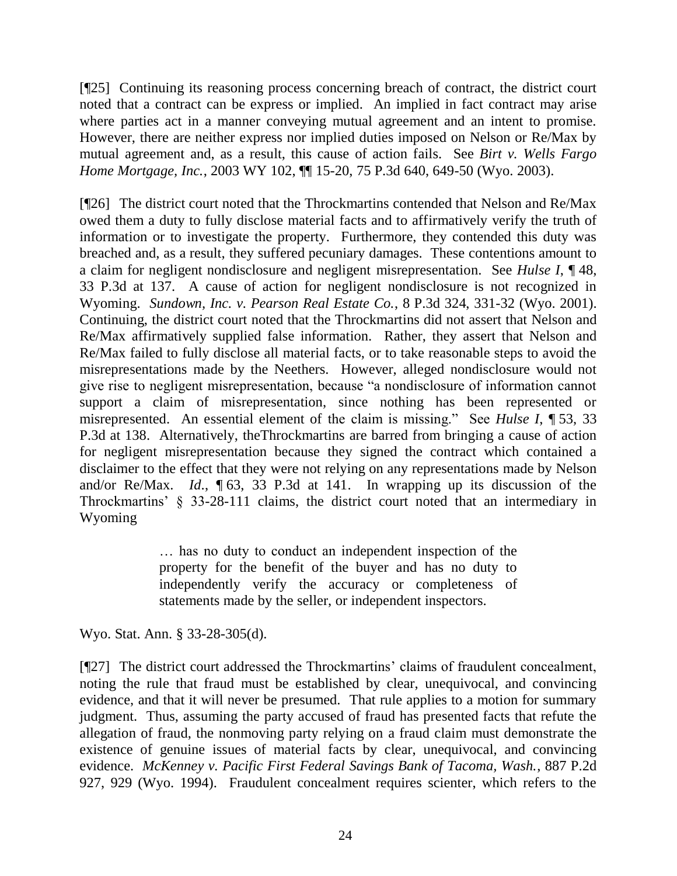[¶25] Continuing its reasoning process concerning breach of contract, the district court noted that a contract can be express or implied. An implied in fact contract may arise where parties act in a manner conveying mutual agreement and an intent to promise. However, there are neither express nor implied duties imposed on Nelson or Re/Max by mutual agreement and, as a result, this cause of action fails. See *Birt v. Wells Fargo Home Mortgage, Inc.*, 2003 WY 102, ¶¶ 15-20, 75 P.3d 640, 649-50 (Wyo. 2003).

[¶26] The district court noted that the Throckmartins contended that Nelson and Re/Max owed them a duty to fully disclose material facts and to affirmatively verify the truth of information or to investigate the property. Furthermore, they contended this duty was breached and, as a result, they suffered pecuniary damages. These contentions amount to a claim for negligent nondisclosure and negligent misrepresentation. See *Hulse I*, ¶ 48, 33 P.3d at 137. A cause of action for negligent nondisclosure is not recognized in Wyoming. *Sundown, Inc. v. Pearson Real Estate Co.*, 8 P.3d 324, 331-32 (Wyo. 2001). Continuing, the district court noted that the Throckmartins did not assert that Nelson and Re/Max affirmatively supplied false information. Rather, they assert that Nelson and Re/Max failed to fully disclose all material facts, or to take reasonable steps to avoid the misrepresentations made by the Neethers. However, alleged nondisclosure would not give rise to negligent misrepresentation, because "a nondisclosure of information cannot support a claim of misrepresentation, since nothing has been represented or misrepresented. An essential element of the claim is missing." See *Hulse I*, ¶ 53, 33 P.3d at 138. Alternatively, theThrockmartins are barred from bringing a cause of action for negligent misrepresentation because they signed the contract which contained a disclaimer to the effect that they were not relying on any representations made by Nelson and/or Re/Max. *Id*., ¶ 63, 33 P.3d at 141. In wrapping up its discussion of the Throckmartins" § 33-28-111 claims, the district court noted that an intermediary in Wyoming

> … has no duty to conduct an independent inspection of the property for the benefit of the buyer and has no duty to independently verify the accuracy or completeness of statements made by the seller, or independent inspectors.

Wyo. Stat. Ann. § 33-28-305(d).

[¶27] The district court addressed the Throckmartins" claims of fraudulent concealment, noting the rule that fraud must be established by clear, unequivocal, and convincing evidence, and that it will never be presumed. That rule applies to a motion for summary judgment. Thus, assuming the party accused of fraud has presented facts that refute the allegation of fraud, the nonmoving party relying on a fraud claim must demonstrate the existence of genuine issues of material facts by clear, unequivocal, and convincing evidence. *McKenney v. Pacific First Federal Savings Bank of Tacoma, Wash.*, 887 P.2d 927, 929 (Wyo. 1994). Fraudulent concealment requires scienter, which refers to the